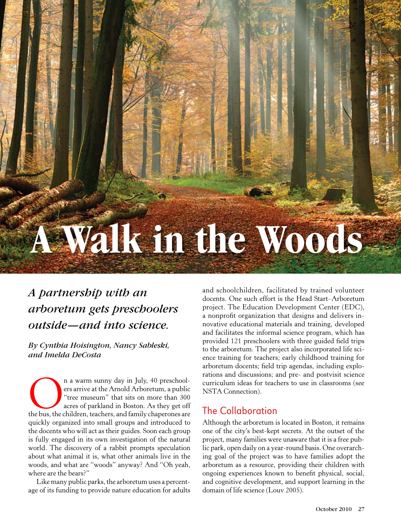# **A Walk in the Woods**

## *A partnership with an arboretum gets preschoolers outside—and into science.*

*By Cynthia Hoisington, Nancy Sableski, and Imelda DeCosta*

n a warm sunny day in July, 40 preschool-<br>
ers arrive at the Arnold Arboretum, a public<br>
"tree museum" that sits on more than 300<br>
acres of parkland in Boston. As they get off<br>
the bus, the children, teachers, and family c ers arrive at the Arnold Arboretum, a public "tree museum" that sits on more than 300 acres of parkland in Boston. As they get off quickly organized into small groups and introduced to the docents who will act as their guides. Soon each group is fully engaged in its own investigation of the natural world. The discovery of a rabbit prompts speculation about what animal it is, what other animals live in the woods, and what are "woods" anyway? And "Oh yeah, where are the bears?"

Like many public parks, the arboretum uses a percentage of its funding to provide nature education for adults

and schoolchildren, facilitated by trained volunteer docents. One such effort is the Head Start–Arboretum project. The Education Development Center (EDC), a nonprofit organization that designs and delivers innovative educational materials and training, developed and facilitates the informal science program, which has provided 121 preschoolers with three guided field trips to the arboretum. The project also incorporated life science training for teachers; early childhood training for arboretum docents; field trip agendas, including explorations and discussions; and pre- and postvisit science curriculum ideas for teachers to use in classrooms (see NSTA Connection).

#### The Collaboration

Although the arboretum is located in Boston, it remains one of the city's best-kept secrets. At the outset of the project, many families were unaware that it is a free public park, open daily on a year-round basis. One overarching goal of the project was to have families adopt the arboretum as a resource, providing their children with ongoing experiences known to benefit physical, social, and cognitive development, and support learning in the domain of life science (Louv 2005).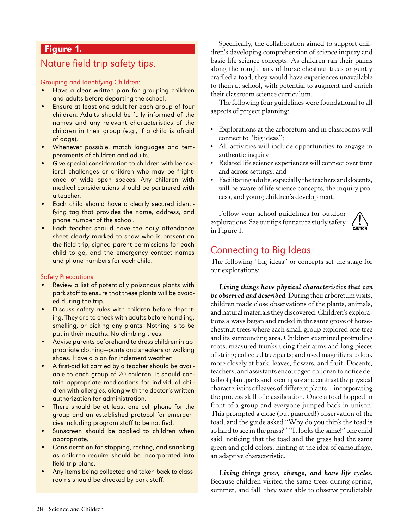#### Figure 1.

#### Nature field trip safety tips.

Grouping and Identifying Children:

- Have a clear written plan for grouping children and adults before departing the school.
- Ensure at least one adult for each group of four children. Adults should be fully informed of the names and any relevant characteristics of the children in their group (e.g., if a child is afraid of dogs).
- • Whenever possible, match languages and temperaments of children and adults.
- Give special consideration to children with behavioral challenges or children who may be frightened of wide open spaces. Any children with medical considerations should be partnered with a teacher.
- Each child should have a clearly secured identifying tag that provides the name, address, and phone number of the school.
- Each teacher should have the daily attendance sheet clearly marked to show who is present on the field trip, signed parent permissions for each child to go, and the emergency contact names and phone numbers for each child.

#### Safety Precautions:

- Review a list of potentially poisonous plants with park staff to ensure that these plants will be avoided during the trip.
- Discuss safety rules with children before departing. They are to check with adults before handling, smelling, or picking any plants. Nothing is to be put in their mouths. No climbing trees.
- Advise parents beforehand to dress children in appropriate clothing—pants and sneakers or walking shoes. Have a plan for inclement weather.
- A first-aid kit carried by a teacher should be available to each group of 20 children. It should contain appropriate medications for individual children with allergies, along with the doctor's written authorization for administration.
- There should be at least one cell phone for the group and an established protocol for emergencies including program staff to be notified.
- Sunscreen should be applied to children when appropriate.
- Consideration for stopping, resting, and snacking as children require should be incorporated into field trip plans.
- Any items being collected and taken back to classrooms should be checked by park staff.

Specifically, the collaboration aimed to support children's developing comprehension of science inquiry and basic life science concepts. As children ran their palms along the rough bark of horse chestnut trees or gently cradled a toad, they would have experiences unavailable to them at school, with potential to augment and enrich their classroom science curriculum.

The following four guidelines were foundational to all aspects of project planning:

- • Explorations at the arboretum and in classrooms will connect to "big ideas";
- All activities will include opportunities to engage in authentic inquiry;
- • Related life science experiences will connect over time and across settings; and
- Facilitating adults, especially the teachers and docents, will be aware of life science concepts, the inquiry process, and young children's development.

Follow your school guidelines for outdoor explorations. See our tips for nature study safety in Figure 1.



## Connecting to Big Ideas

The following "big ideas" or concepts set the stage for our explorations:

*Living things have physical characteristics that can be observed and described.* During their arboretum visits, children made close observations of the plants, animals, and natural materials they discovered. Children's explorations always began and ended in the same grove of horsechestnut trees where each small group explored one tree and its surrounding area. Children examined protruding roots; measured trunks using their arms and long pieces of string; collected tree parts; and used magnifiers to look more closely at bark, leaves, flowers, and fruit. Docents, teachers, and assistants encouraged children to notice details of plant parts and to compare and contrast the physical characteristics of leaves of different plants—incorporating the process skill of classification. Once a toad hopped in front of a group and everyone jumped back in unison. This prompted a close (but guarded!) observation of the toad, and the guide asked "Why do you think the toad is so hard to see in the grass?" "It looks the same!" one child said, noticing that the toad and the grass had the same green and gold colors, hinting at the idea of camouflage, an adaptive characteristic.

*Living things grow, change, and have life cycles.*  Because children visited the same trees during spring, summer, and fall, they were able to observe predictable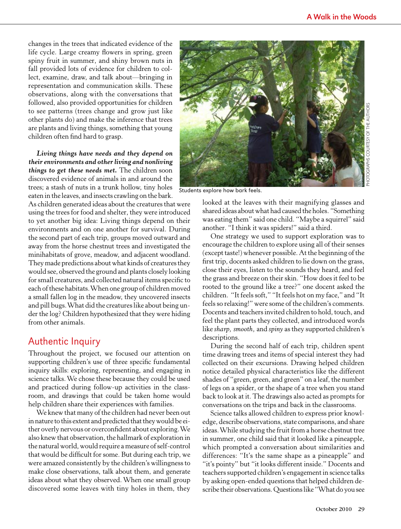changes in the trees that indicated evidence of the life cycle. Large creamy flowers in spring, green spiny fruit in summer, and shiny brown nuts in fall provided lots of evidence for children to collect, examine, draw, and talk about—bringing in representation and communication skills. These observations, along with the conversations that followed, also provided opportunities for children to see patterns (trees change and grow just like other plants do) and make the inference that trees are plants and living things, something that young children often find hard to grasp.

*Living things have needs and they depend on their environments and other living and nonliving things to get these needs met.* The children soon discovered evidence of animals in and around the trees; a stash of nuts in a trunk hollow, tiny holes eaten in the leaves, and insects crawling on the bark.

As children generated ideas about the creatures that were using the trees for food and shelter, they were introduced to yet another big idea: Living things depend on their environments and on one another for survival. During the second part of each trip, groups moved outward and away from the horse chestnut trees and investigated the minihabitats of grove, meadow, and adjacent woodland. They made predictions about what kinds of creatures they would see, observed the ground and plants closely looking for small creatures, and collected natural items specific to each of these habitats. When one group of children moved a small fallen log in the meadow, they uncovered insects and pill bugs. What did the creatures like about being under the log? Children hypothesized that they were hiding from other animals.

#### Authentic Inquiry

Throughout the project, we focused our attention on supporting children's use of three specific fundamental inquiry skills: exploring, representing, and engaging in science talks. We chose these because they could be used and practiced during follow-up activities in the classroom, and drawings that could be taken home would help children share their experiences with families.

We knew that many of the children had never been out in nature to this extent and predicted that they would be either overly nervous or overconfident about exploring. We also knew that observation, the hallmark of exploration in the natural world, would require a measure of self-control that would be difficult for some. But during each trip, we were amazed consistently by the children's willingness to make close observations, talk about them, and generate ideas about what they observed. When one small group discovered some leaves with tiny holes in them, they



Students explore how bark feels.

looked at the leaves with their magnifying glasses and shared ideas about what had caused the holes. "Something was eating them" said one child. "Maybe a squirrel" said another. "I think it was spiders!" said a third.

One strategy we used to support exploration was to encourage the children to explore using all of their senses (except taste!) whenever possible. At the beginning of the first trip, docents asked children to lie down on the grass, close their eyes, listen to the sounds they heard, and feel the grass and breeze on their skin. "How does it feel to be rooted to the ground like a tree?" one docent asked the children. "It feels soft," "It feels hot on my face," and "It feels so relaxing!" were some of the children's comments. Docents and teachers invited children to hold, touch, and feel the plant parts they collected, and introduced words like *sharp, smooth,* and *spiny* as they supported children's descriptions.

During the second half of each trip, children spent time drawing trees and items of special interest they had collected on their excursions. Drawing helped children notice detailed physical characteristics like the different shades of "green, green, and green" on a leaf, the number of legs on a spider, or the shape of a tree when you stand back to look at it. The drawings also acted as prompts for conversations on the trips and back in the classrooms.

Science talks allowed children to express prior knowledge, describe observations, state comparisons, and share ideas. While studying the fruit from a horse chestnut tree in summer, one child said that it looked like a pineapple, which prompted a conversation about similarities and differences: "It's the same shape as a pineapple" and "it's pointy" but "it looks different inside." Docents and teachers supported children's engagement in science talks by asking open-ended questions that helped children describe their observations. Questions like "What do you see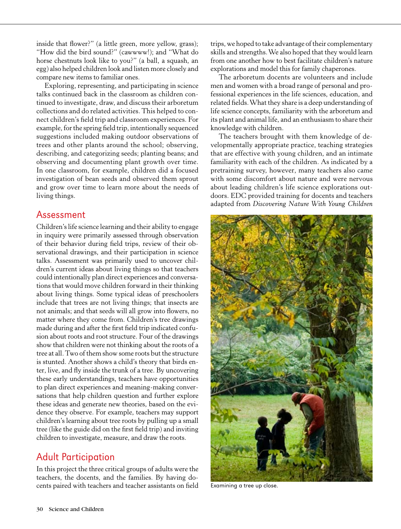inside that flower?" (a little green, more yellow, grass); "How did the bird sound?" (cawwww!); and "What do horse chestnuts look like to you?" (a ball, a squash, an egg) also helped children look and listen more closely and compare new items to familiar ones.

Exploring, representing, and participating in science talks continued back in the classroom as children continued to investigate, draw, and discuss their arboretum collections and do related activities. This helped to connect children's field trip and classroom experiences. For example, for the spring field trip, intentionally sequenced suggestions included making outdoor observations of trees and other plants around the school; observing, describing, and categorizing seeds; planting beans; and observing and documenting plant growth over time. In one classroom, for example, children did a focused investigation of bean seeds and observed them sprout and grow over time to learn more about the needs of living things.

#### Assessment

Children's life science learning and their ability to engage in inquiry were primarily assessed through observation of their behavior during field trips, review of their observational drawings, and their participation in science talks. Assessment was primarily used to uncover children's current ideas about living things so that teachers could intentionally plan direct experiences and conversations that would move children forward in their thinking about living things. Some typical ideas of preschoolers include that trees are not living things; that insects are not animals; and that seeds will all grow into flowers, no matter where they come from. Children's tree drawings made during and after the first field trip indicated confusion about roots and root structure. Four of the drawings show that children were not thinking about the roots of a tree at all. Two of them show some roots but the structure is stunted. Another shows a child's theory that birds enter, live, and fly inside the trunk of a tree. By uncovering these early understandings, teachers have opportunities to plan direct experiences and meaning-making conversations that help children question and further explore these ideas and generate new theories, based on the evidence they observe. For example, teachers may support children's learning about tree roots by pulling up a small tree (like the guide did on the first field trip) and inviting children to investigate, measure, and draw the roots.

#### Adult Participation

In this project the three critical groups of adults were the teachers, the docents, and the families. By having docents paired with teachers and teacher assistants on field

trips, we hoped to take advantage of their complementary skills and strengths. We also hoped that they would learn from one another how to best facilitate children's nature explorations and model this for family chaperones.

The arboretum docents are volunteers and include men and women with a broad range of personal and professional experiences in the life sciences, education, and related fields. What they share is a deep understanding of life science concepts, familiarity with the arboretum and its plant and animal life, and an enthusiasm to share their knowledge with children.

The teachers brought with them knowledge of developmentally appropriate practice, teaching strategies that are effective with young children, and an intimate familiarity with each of the children. As indicated by a pretraining survey, however, many teachers also came with some discomfort about nature and were nervous about leading children's life science explorations outdoors. EDC provided training for docents and teachers adapted from *Discovering Nature With Young Children*



Examining a tree up close.